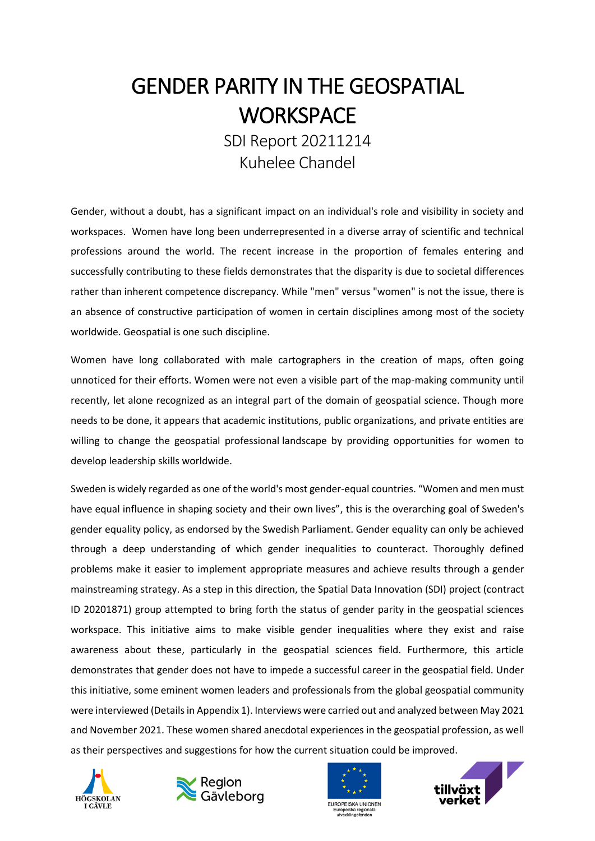# GENDER PARITY IN THE GEOSPATIAL **WORKSPACE**

SDI Report 20211214 Kuhelee Chandel

Gender, without a doubt, has a significant impact on an individual's role and visibility in society and workspaces. Women have long been underrepresented in a diverse array of scientific and technical professions around the world. The recent increase in the proportion of females entering and successfully contributing to these fields demonstrates that the disparity is due to societal differences rather than inherent competence discrepancy. While "men" versus "women" is not the issue, there is an absence of constructive participation of women in certain disciplines among most of the society worldwide. Geospatial is one such discipline.

Women have long collaborated with male cartographers in the creation of maps, often going unnoticed for their efforts. Women were not even a visible part of the map-making community until recently, let alone recognized as an integral part of the domain of geospatial science. Though more needs to be done, it appears that academic institutions, public organizations, and private entities are willing to change the geospatial professional landscape by providing opportunities for women to develop leadership skills worldwide.

Sweden is widely regarded as one of the world's most gender-equal countries. "Women and men must have equal influence in shaping society and their own lives", this is the overarching goal of Sweden's gender equality policy, as endorsed by the Swedish Parliament. Gender equality can only be achieved through a deep understanding of which gender inequalities to counteract. Thoroughly defined problems make it easier to implement appropriate measures and achieve results through a gender mainstreaming strategy. As a step in this direction, the Spatial Data Innovation (SDI) project (contract ID 20201871) group attempted to bring forth the status of gender parity in the geospatial sciences workspace. This initiative aims to make visible gender inequalities where they exist and raise awareness about these, particularly in the geospatial sciences field. Furthermore, this article demonstrates that gender does not have to impede a successful career in the geospatial field. Under this initiative, some eminent women leaders and professionals from the global geospatial community were interviewed (Details in Appendix 1). Interviews were carried out and analyzed between May 2021 and November 2021. These women shared anecdotal experiences in the geospatial profession, as well as their perspectives and suggestions for how the current situation could be improved.







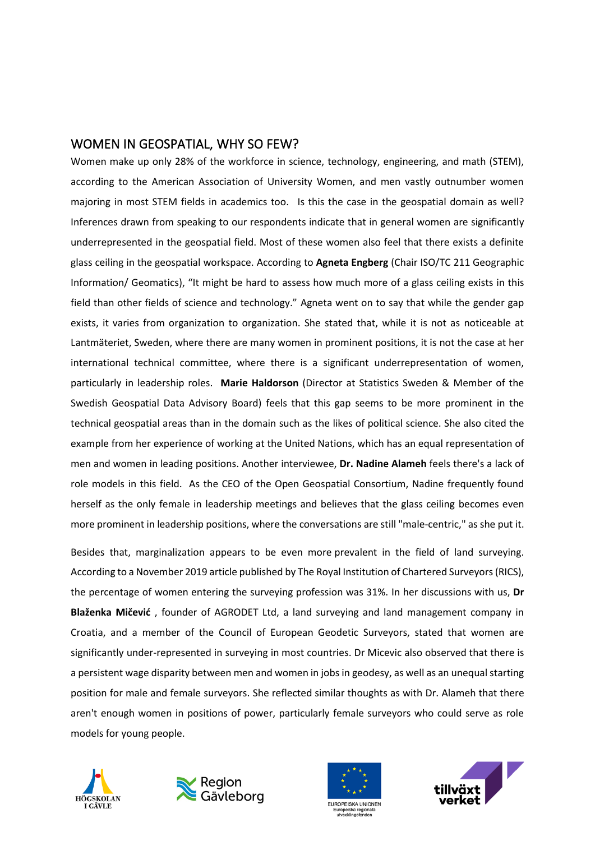#### WOMEN IN GEOSPATIAL, WHY SO FEW?

Women make up only 28% of the workforce in science, technology, engineering, and math (STEM), according to the American Association of University Women, and men vastly outnumber women majoring in most STEM fields in academics too. Is this the case in the geospatial domain as well? Inferences drawn from speaking to our respondents indicate that in general women are significantly underrepresented in the geospatial field. Most of these women also feel that there exists a definite glass ceiling in the geospatial workspace. According to **Agneta Engberg** (Chair ISO/TC 211 Geographic Information/ Geomatics), "It might be hard to assess how much more of a glass ceiling exists in this field than other fields of science and technology." Agneta went on to say that while the gender gap exists, it varies from organization to organization. She stated that, while it is not as noticeable at Lantmäteriet, Sweden, where there are many women in prominent positions, it is not the case at her international technical committee, where there is a significant underrepresentation of women, particularly in leadership roles. **Marie Haldorson** (Director at Statistics Sweden & Member of the Swedish Geospatial Data Advisory Board) feels that this gap seems to be more prominent in the technical geospatial areas than in the domain such as the likes of political science. She also cited the example from her experience of working at the United Nations, which has an equal representation of men and women in leading positions. Another interviewee, **Dr. Nadine Alameh** feels there's a lack of role models in this field. As the CEO of the Open Geospatial Consortium, Nadine frequently found herself as the only female in leadership meetings and believes that the glass ceiling becomes even more prominent in leadership positions, where the conversations are still "male-centric," as she put it.

Besides that, marginalization appears to be even more prevalent in the field of land surveying. According to a November 2019 article published by The Royal Institution of Chartered Surveyors (RICS), the percentage of women entering the surveying profession was 31%. In her discussions with us, **Dr Blaženka Mičević** , founder of AGRODET Ltd, a land surveying and land management company in Croatia, and a member of the Council of European Geodetic Surveyors, stated that women are significantly under-represented in surveying in most countries. Dr Micevic also observed that there is a persistent wage disparity between men and women in jobs in geodesy, as well as an unequal starting position for male and female surveyors. She reflected similar thoughts as with Dr. Alameh that there aren't enough women in positions of power, particularly female surveyors who could serve as role models for young people.







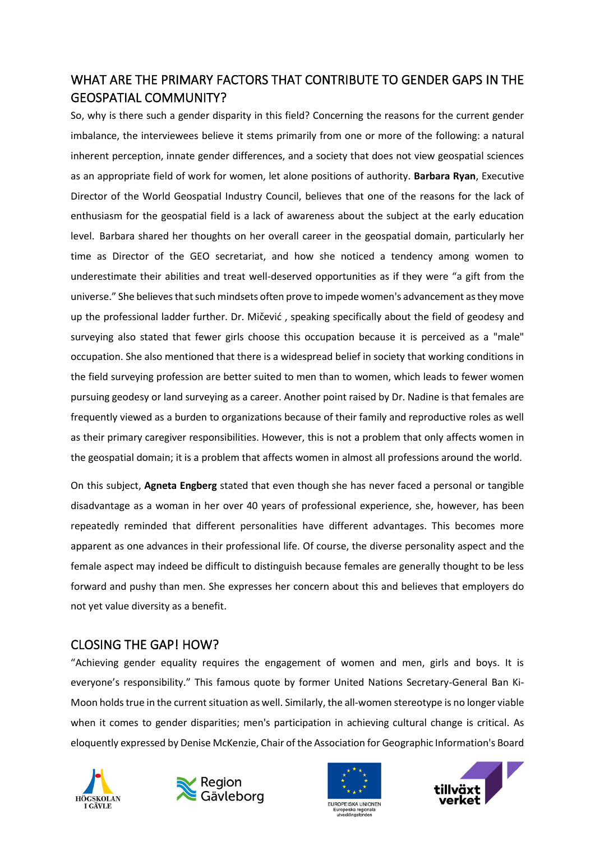## WHAT ARE THE PRIMARY FACTORS THAT CONTRIBUTE TO GENDER GAPS IN THE GEOSPATIAL COMMUNITY?

So, why is there such a gender disparity in this field? Concerning the reasons for the current gender imbalance, the interviewees believe it stems primarily from one or more of the following: a natural inherent perception, innate gender differences, and a society that does not view geospatial sciences as an appropriate field of work for women, let alone positions of authority. **Barbara Ryan**, Executive Director of the World Geospatial Industry Council, believes that one of the reasons for the lack of enthusiasm for the geospatial field is a lack of awareness about the subject at the early education level. Barbara shared her thoughts on her overall career in the geospatial domain, particularly her time as Director of the GEO secretariat, and how she noticed a tendency among women to underestimate their abilities and treat well-deserved opportunities as if they were "a gift from the universe." She believes that such mindsets often prove to impede women's advancement as they move up the professional ladder further. Dr. Mičević , speaking specifically about the field of geodesy and surveying also stated that fewer girls choose this occupation because it is perceived as a "male" occupation. She also mentioned that there is a widespread belief in society that working conditions in the field surveying profession are better suited to men than to women, which leads to fewer women pursuing geodesy or land surveying as a career. Another point raised by Dr. Nadine is that females are frequently viewed as a burden to organizations because of their family and reproductive roles as well as their primary caregiver responsibilities. However, this is not a problem that only affects women in the geospatial domain; it is a problem that affects women in almost all professions around the world.

On this subject, **Agneta Engberg** stated that even though she has never faced a personal or tangible disadvantage as a woman in her over 40 years of professional experience, she, however, has been repeatedly reminded that different personalities have different advantages. This becomes more apparent as one advances in their professional life. Of course, the diverse personality aspect and the female aspect may indeed be difficult to distinguish because females are generally thought to be less forward and pushy than men. She expresses her concern about this and believes that employers do not yet value diversity as a benefit.

### CLOSING THE GAP! HOW?

"Achieving gender equality requires the engagement of women and men, girls and boys. It is everyone's responsibility." This famous quote by former United Nations Secretary-General Ban Ki-Moon holds true in the current situation as well. Similarly, the all-women stereotype is no longer viable when it comes to gender disparities; men's participation in achieving cultural change is critical. As eloquently expressed by Denise McKenzie, Chair of the Association for Geographic Information's Board







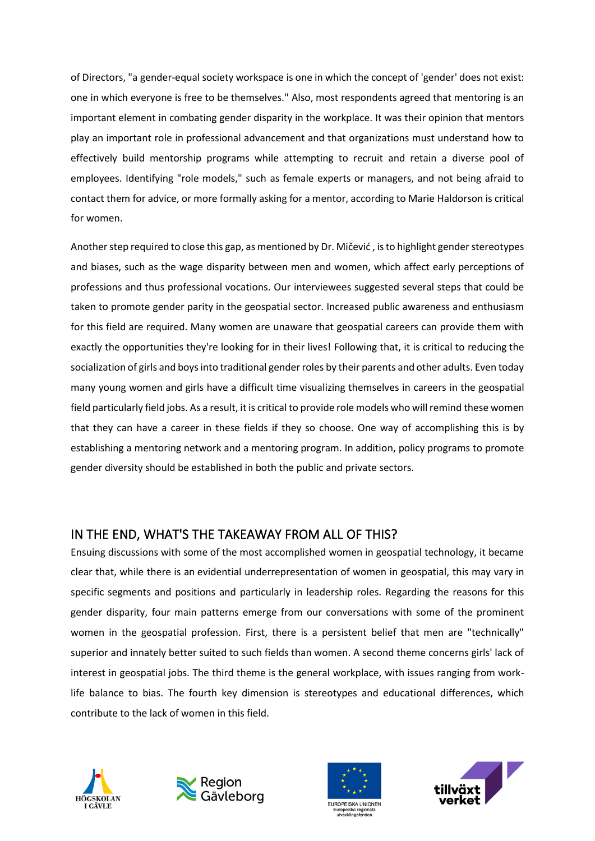of Directors, "a gender-equal society workspace is one in which the concept of 'gender' does not exist: one in which everyone is free to be themselves." Also, most respondents agreed that mentoring is an important element in combating gender disparity in the workplace. It was their opinion that mentors play an important role in professional advancement and that organizations must understand how to effectively build mentorship programs while attempting to recruit and retain a diverse pool of employees. Identifying "role models," such as female experts or managers, and not being afraid to contact them for advice, or more formally asking for a mentor, according to Marie Haldorson is critical for women.

Another step required to close this gap, as mentioned by Dr. Mičević , is to highlight gender stereotypes and biases, such as the wage disparity between men and women, which affect early perceptions of professions and thus professional vocations. Our interviewees suggested several steps that could be taken to promote gender parity in the geospatial sector. Increased public awareness and enthusiasm for this field are required. Many women are unaware that geospatial careers can provide them with exactly the opportunities they're looking for in their lives! Following that, it is critical to reducing the socialization of girls and boys into traditional gender roles by their parents and other adults. Even today many young women and girls have a difficult time visualizing themselves in careers in the geospatial field particularly field jobs. As a result, it is critical to provide role models who will remind these women that they can have a career in these fields if they so choose. One way of accomplishing this is by establishing a mentoring network and a mentoring program. In addition, policy programs to promote gender diversity should be established in both the public and private sectors.

## IN THE END, WHAT'S THE TAKEAWAY FROM ALL OF THIS?

Ensuing discussions with some of the most accomplished women in geospatial technology, it became clear that, while there is an evidential underrepresentation of women in geospatial, this may vary in specific segments and positions and particularly in leadership roles. Regarding the reasons for this gender disparity, four main patterns emerge from our conversations with some of the prominent women in the geospatial profession. First, there is a persistent belief that men are "technically" superior and innately better suited to such fields than women. A second theme concerns girls' lack of interest in geospatial jobs. The third theme is the general workplace, with issues ranging from worklife balance to bias. The fourth key dimension is stereotypes and educational differences, which contribute to the lack of women in this field.